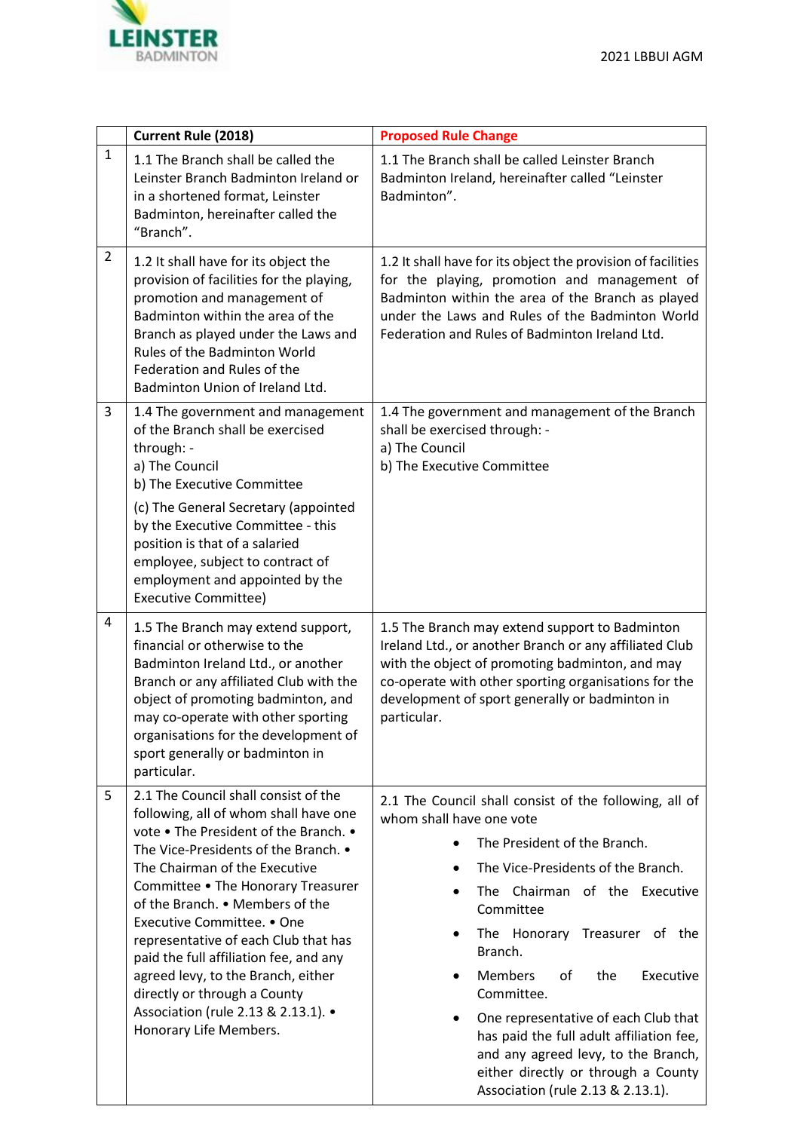

|                | <b>Current Rule (2018)</b>                                                                                                                                                                                                                                                                                                                                                                                                                                                                                                      | <b>Proposed Rule Change</b>                                                                                                                                                                                                                                                                                                                                                                                                                                                                                                           |
|----------------|---------------------------------------------------------------------------------------------------------------------------------------------------------------------------------------------------------------------------------------------------------------------------------------------------------------------------------------------------------------------------------------------------------------------------------------------------------------------------------------------------------------------------------|---------------------------------------------------------------------------------------------------------------------------------------------------------------------------------------------------------------------------------------------------------------------------------------------------------------------------------------------------------------------------------------------------------------------------------------------------------------------------------------------------------------------------------------|
| $\mathbf{1}$   | 1.1 The Branch shall be called the<br>Leinster Branch Badminton Ireland or<br>in a shortened format, Leinster<br>Badminton, hereinafter called the<br>"Branch".                                                                                                                                                                                                                                                                                                                                                                 | 1.1 The Branch shall be called Leinster Branch<br>Badminton Ireland, hereinafter called "Leinster<br>Badminton".                                                                                                                                                                                                                                                                                                                                                                                                                      |
| $\overline{2}$ | 1.2 It shall have for its object the<br>provision of facilities for the playing,<br>promotion and management of<br>Badminton within the area of the<br>Branch as played under the Laws and<br>Rules of the Badminton World<br>Federation and Rules of the<br>Badminton Union of Ireland Ltd.                                                                                                                                                                                                                                    | 1.2 It shall have for its object the provision of facilities<br>for the playing, promotion and management of<br>Badminton within the area of the Branch as played<br>under the Laws and Rules of the Badminton World<br>Federation and Rules of Badminton Ireland Ltd.                                                                                                                                                                                                                                                                |
| 3              | 1.4 The government and management<br>of the Branch shall be exercised<br>through: -<br>a) The Council<br>b) The Executive Committee<br>(c) The General Secretary (appointed<br>by the Executive Committee - this<br>position is that of a salaried<br>employee, subject to contract of<br>employment and appointed by the<br><b>Executive Committee)</b>                                                                                                                                                                        | 1.4 The government and management of the Branch<br>shall be exercised through: -<br>a) The Council<br>b) The Executive Committee                                                                                                                                                                                                                                                                                                                                                                                                      |
| 4              | 1.5 The Branch may extend support,<br>financial or otherwise to the<br>Badminton Ireland Ltd., or another<br>Branch or any affiliated Club with the<br>object of promoting badminton, and<br>may co-operate with other sporting<br>organisations for the development of<br>sport generally or badminton in<br>particular.                                                                                                                                                                                                       | 1.5 The Branch may extend support to Badminton<br>Ireland Ltd., or another Branch or any affiliated Club<br>with the object of promoting badminton, and may<br>co-operate with other sporting organisations for the<br>development of sport generally or badminton in<br>particular.                                                                                                                                                                                                                                                  |
| 5              | 2.1 The Council shall consist of the<br>following, all of whom shall have one<br>vote . The President of the Branch. .<br>The Vice-Presidents of the Branch. •<br>The Chairman of the Executive<br>Committee . The Honorary Treasurer<br>of the Branch. • Members of the<br>Executive Committee. • One<br>representative of each Club that has<br>paid the full affiliation fee, and any<br>agreed levy, to the Branch, either<br>directly or through a County<br>Association (rule 2.13 & 2.13.1). •<br>Honorary Life Members. | 2.1 The Council shall consist of the following, all of<br>whom shall have one vote<br>The President of the Branch.<br>The Vice-Presidents of the Branch.<br>The Chairman of the Executive<br>Committee<br>The Honorary Treasurer of the<br>Branch.<br><b>Members</b><br>οf<br>the<br>Executive<br>$\bullet$<br>Committee.<br>One representative of each Club that<br>٠<br>has paid the full adult affiliation fee,<br>and any agreed levy, to the Branch,<br>either directly or through a County<br>Association (rule 2.13 & 2.13.1). |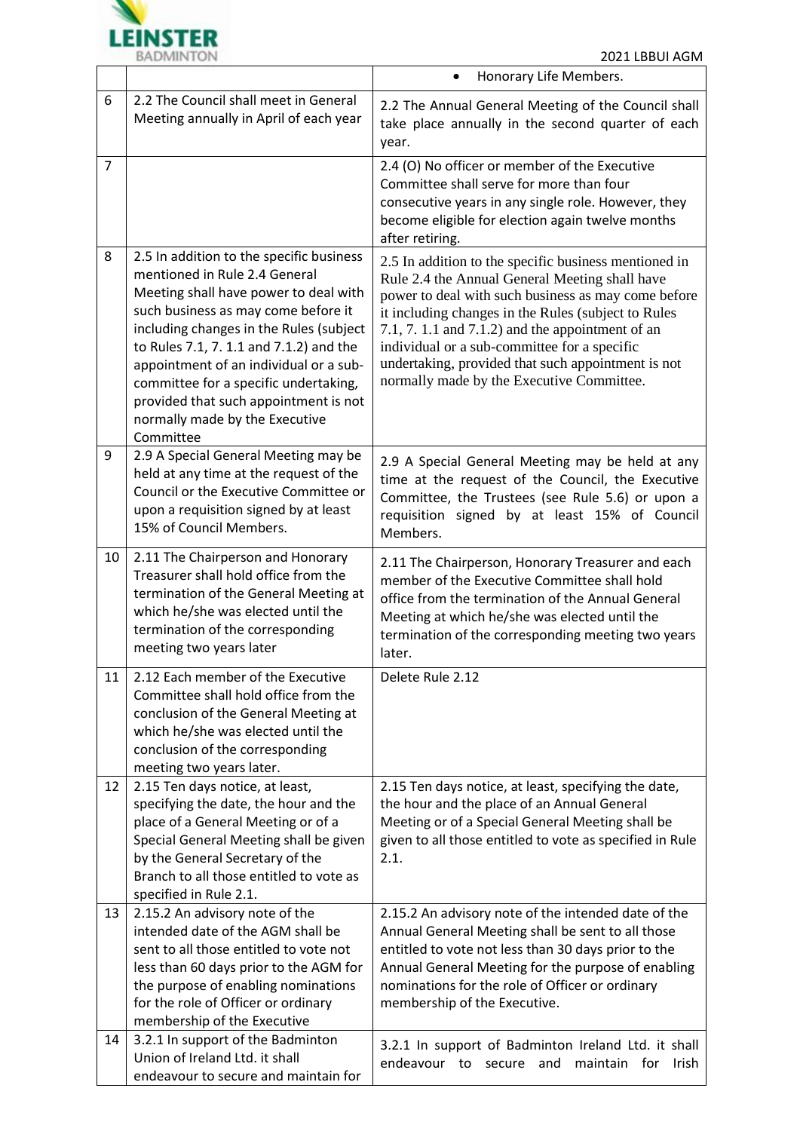

|    |                                                                                                                                                                                                                                                                                                                                                                                                                           | Honorary Life Members.                                                                                                                                                                                                                                                                                                                                                                                                       |
|----|---------------------------------------------------------------------------------------------------------------------------------------------------------------------------------------------------------------------------------------------------------------------------------------------------------------------------------------------------------------------------------------------------------------------------|------------------------------------------------------------------------------------------------------------------------------------------------------------------------------------------------------------------------------------------------------------------------------------------------------------------------------------------------------------------------------------------------------------------------------|
| 6  | 2.2 The Council shall meet in General<br>Meeting annually in April of each year                                                                                                                                                                                                                                                                                                                                           | 2.2 The Annual General Meeting of the Council shall<br>take place annually in the second quarter of each<br>year.                                                                                                                                                                                                                                                                                                            |
| 7  |                                                                                                                                                                                                                                                                                                                                                                                                                           | 2.4 (O) No officer or member of the Executive<br>Committee shall serve for more than four<br>consecutive years in any single role. However, they<br>become eligible for election again twelve months<br>after retiring.                                                                                                                                                                                                      |
| 8  | 2.5 In addition to the specific business<br>mentioned in Rule 2.4 General<br>Meeting shall have power to deal with<br>such business as may come before it<br>including changes in the Rules (subject<br>to Rules 7.1, 7.1.1 and 7.1.2) and the<br>appointment of an individual or a sub-<br>committee for a specific undertaking,<br>provided that such appointment is not<br>normally made by the Executive<br>Committee | 2.5 In addition to the specific business mentioned in<br>Rule 2.4 the Annual General Meeting shall have<br>power to deal with such business as may come before<br>it including changes in the Rules (subject to Rules<br>7.1, 7. 1.1 and 7.1.2) and the appointment of an<br>individual or a sub-committee for a specific<br>undertaking, provided that such appointment is not<br>normally made by the Executive Committee. |
| 9  | 2.9 A Special General Meeting may be<br>held at any time at the request of the<br>Council or the Executive Committee or<br>upon a requisition signed by at least<br>15% of Council Members.                                                                                                                                                                                                                               | 2.9 A Special General Meeting may be held at any<br>time at the request of the Council, the Executive<br>Committee, the Trustees (see Rule 5.6) or upon a<br>requisition signed by at least 15% of Council<br>Members.                                                                                                                                                                                                       |
| 10 | 2.11 The Chairperson and Honorary<br>Treasurer shall hold office from the<br>termination of the General Meeting at<br>which he/she was elected until the<br>termination of the corresponding<br>meeting two years later                                                                                                                                                                                                   | 2.11 The Chairperson, Honorary Treasurer and each<br>member of the Executive Committee shall hold<br>office from the termination of the Annual General<br>Meeting at which he/she was elected until the<br>termination of the corresponding meeting two years<br>later.                                                                                                                                                      |
| 11 | 2.12 Each member of the Executive<br>Committee shall hold office from the<br>conclusion of the General Meeting at<br>which he/she was elected until the<br>conclusion of the corresponding<br>meeting two years later.                                                                                                                                                                                                    | Delete Rule 2.12                                                                                                                                                                                                                                                                                                                                                                                                             |
| 12 | 2.15 Ten days notice, at least,<br>specifying the date, the hour and the<br>place of a General Meeting or of a<br>Special General Meeting shall be given<br>by the General Secretary of the<br>Branch to all those entitled to vote as<br>specified in Rule 2.1.                                                                                                                                                          | 2.15 Ten days notice, at least, specifying the date,<br>the hour and the place of an Annual General<br>Meeting or of a Special General Meeting shall be<br>given to all those entitled to vote as specified in Rule<br>2.1.                                                                                                                                                                                                  |
| 13 | 2.15.2 An advisory note of the<br>intended date of the AGM shall be<br>sent to all those entitled to vote not<br>less than 60 days prior to the AGM for<br>the purpose of enabling nominations<br>for the role of Officer or ordinary<br>membership of the Executive                                                                                                                                                      | 2.15.2 An advisory note of the intended date of the<br>Annual General Meeting shall be sent to all those<br>entitled to vote not less than 30 days prior to the<br>Annual General Meeting for the purpose of enabling<br>nominations for the role of Officer or ordinary<br>membership of the Executive.                                                                                                                     |
| 14 | 3.2.1 In support of the Badminton<br>Union of Ireland Ltd. it shall<br>endeavour to secure and maintain for                                                                                                                                                                                                                                                                                                               | 3.2.1 In support of Badminton Ireland Ltd. it shall<br>endeavour<br>maintain<br>for<br>and<br><b>Irish</b><br>to<br>secure                                                                                                                                                                                                                                                                                                   |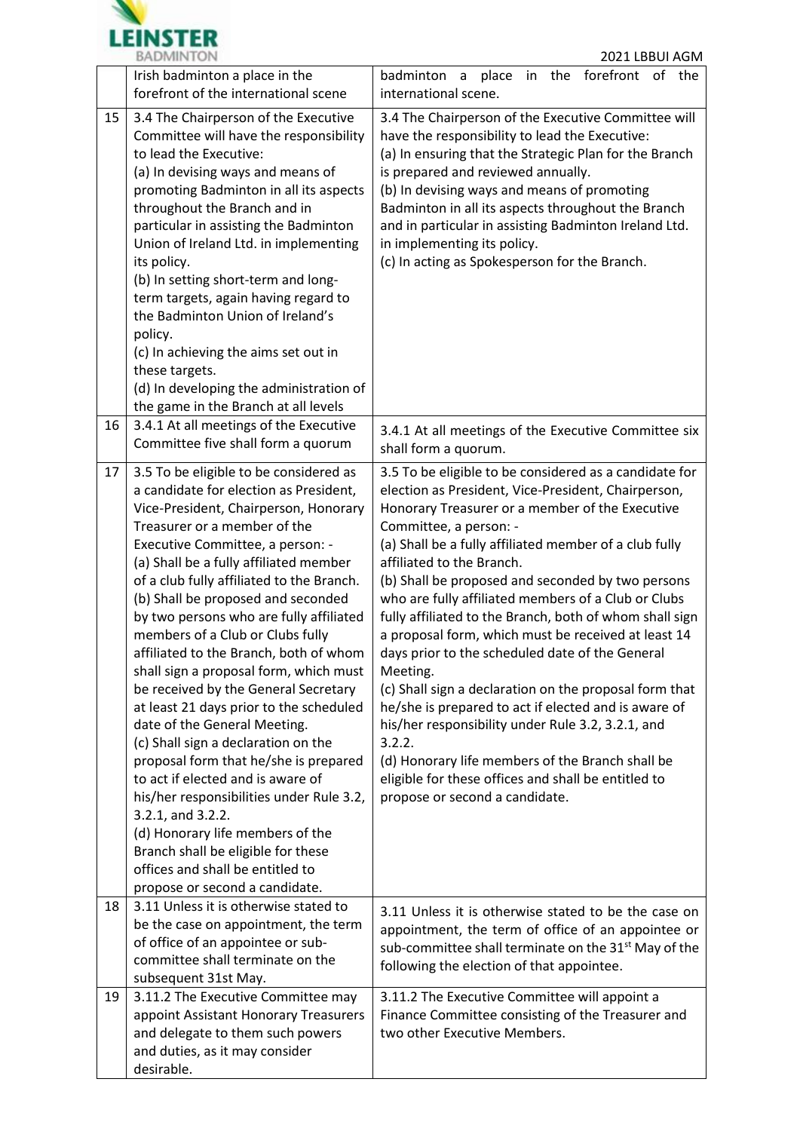

|    | Irish badminton a place in the<br>forefront of the international scene                                                                                                                                                                                                                                                                                                                                                                                                                                                                                                                                                                                                                                                                                                                                                                                                                                                                                 | badminton a place in the forefront of the<br>international scene.                                                                                                                                                                                                                                                                                                                                                                                                                                                                                                                                                                                                                                                                                                                                                                                                                                            |
|----|--------------------------------------------------------------------------------------------------------------------------------------------------------------------------------------------------------------------------------------------------------------------------------------------------------------------------------------------------------------------------------------------------------------------------------------------------------------------------------------------------------------------------------------------------------------------------------------------------------------------------------------------------------------------------------------------------------------------------------------------------------------------------------------------------------------------------------------------------------------------------------------------------------------------------------------------------------|--------------------------------------------------------------------------------------------------------------------------------------------------------------------------------------------------------------------------------------------------------------------------------------------------------------------------------------------------------------------------------------------------------------------------------------------------------------------------------------------------------------------------------------------------------------------------------------------------------------------------------------------------------------------------------------------------------------------------------------------------------------------------------------------------------------------------------------------------------------------------------------------------------------|
| 15 | 3.4 The Chairperson of the Executive<br>Committee will have the responsibility<br>to lead the Executive:<br>(a) In devising ways and means of<br>promoting Badminton in all its aspects<br>throughout the Branch and in<br>particular in assisting the Badminton<br>Union of Ireland Ltd. in implementing<br>its policy.<br>(b) In setting short-term and long-<br>term targets, again having regard to<br>the Badminton Union of Ireland's<br>policy.<br>(c) In achieving the aims set out in<br>these targets.<br>(d) In developing the administration of<br>the game in the Branch at all levels                                                                                                                                                                                                                                                                                                                                                    | 3.4 The Chairperson of the Executive Committee will<br>have the responsibility to lead the Executive:<br>(a) In ensuring that the Strategic Plan for the Branch<br>is prepared and reviewed annually.<br>(b) In devising ways and means of promoting<br>Badminton in all its aspects throughout the Branch<br>and in particular in assisting Badminton Ireland Ltd.<br>in implementing its policy.<br>(c) In acting as Spokesperson for the Branch.                                                                                                                                                                                                                                                                                                                                                                                                                                                          |
| 16 | 3.4.1 At all meetings of the Executive<br>Committee five shall form a quorum                                                                                                                                                                                                                                                                                                                                                                                                                                                                                                                                                                                                                                                                                                                                                                                                                                                                           | 3.4.1 At all meetings of the Executive Committee six<br>shall form a quorum.                                                                                                                                                                                                                                                                                                                                                                                                                                                                                                                                                                                                                                                                                                                                                                                                                                 |
| 17 | 3.5 To be eligible to be considered as<br>a candidate for election as President,<br>Vice-President, Chairperson, Honorary<br>Treasurer or a member of the<br>Executive Committee, a person: -<br>(a) Shall be a fully affiliated member<br>of a club fully affiliated to the Branch.<br>(b) Shall be proposed and seconded<br>by two persons who are fully affiliated<br>members of a Club or Clubs fully<br>affiliated to the Branch, both of whom<br>shall sign a proposal form, which must<br>be received by the General Secretary<br>at least 21 days prior to the scheduled<br>date of the General Meeting.<br>(c) Shall sign a declaration on the<br>proposal form that he/she is prepared<br>to act if elected and is aware of<br>his/her responsibilities under Rule 3.2,<br>3.2.1, and 3.2.2.<br>(d) Honorary life members of the<br>Branch shall be eligible for these<br>offices and shall be entitled to<br>propose or second a candidate. | 3.5 To be eligible to be considered as a candidate for<br>election as President, Vice-President, Chairperson,<br>Honorary Treasurer or a member of the Executive<br>Committee, a person: -<br>(a) Shall be a fully affiliated member of a club fully<br>affiliated to the Branch.<br>(b) Shall be proposed and seconded by two persons<br>who are fully affiliated members of a Club or Clubs<br>fully affiliated to the Branch, both of whom shall sign<br>a proposal form, which must be received at least 14<br>days prior to the scheduled date of the General<br>Meeting.<br>(c) Shall sign a declaration on the proposal form that<br>he/she is prepared to act if elected and is aware of<br>his/her responsibility under Rule 3.2, 3.2.1, and<br>3.2.2.<br>(d) Honorary life members of the Branch shall be<br>eligible for these offices and shall be entitled to<br>propose or second a candidate. |
| 18 | 3.11 Unless it is otherwise stated to<br>be the case on appointment, the term<br>of office of an appointee or sub-<br>committee shall terminate on the<br>subsequent 31st May.                                                                                                                                                                                                                                                                                                                                                                                                                                                                                                                                                                                                                                                                                                                                                                         | 3.11 Unless it is otherwise stated to be the case on<br>appointment, the term of office of an appointee or<br>sub-committee shall terminate on the 31 <sup>st</sup> May of the<br>following the election of that appointee.                                                                                                                                                                                                                                                                                                                                                                                                                                                                                                                                                                                                                                                                                  |
| 19 | 3.11.2 The Executive Committee may<br>appoint Assistant Honorary Treasurers<br>and delegate to them such powers<br>and duties, as it may consider<br>desirable.                                                                                                                                                                                                                                                                                                                                                                                                                                                                                                                                                                                                                                                                                                                                                                                        | 3.11.2 The Executive Committee will appoint a<br>Finance Committee consisting of the Treasurer and<br>two other Executive Members.                                                                                                                                                                                                                                                                                                                                                                                                                                                                                                                                                                                                                                                                                                                                                                           |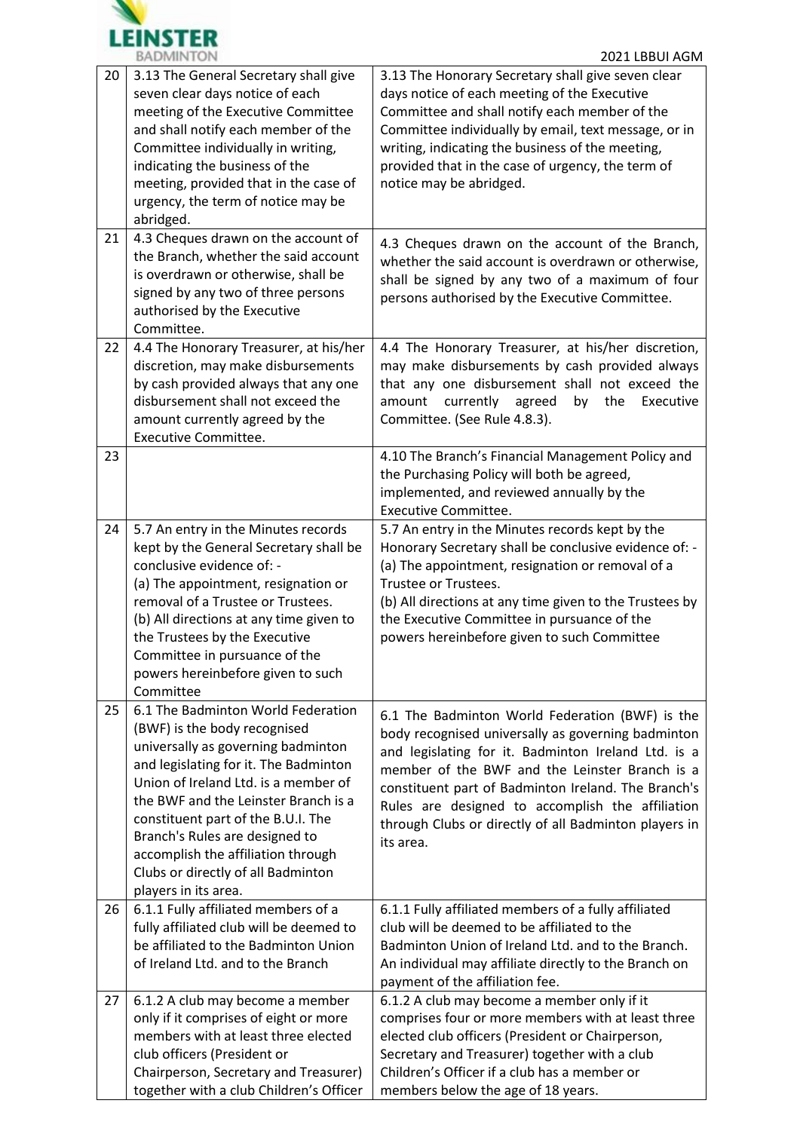

| 20 | 3.13 The General Secretary shall give<br>seven clear days notice of each<br>meeting of the Executive Committee<br>and shall notify each member of the<br>Committee individually in writing,<br>indicating the business of the<br>meeting, provided that in the case of<br>urgency, the term of notice may be<br>abridged.                                                                                     | 3.13 The Honorary Secretary shall give seven clear<br>days notice of each meeting of the Executive<br>Committee and shall notify each member of the<br>Committee individually by email, text message, or in<br>writing, indicating the business of the meeting,<br>provided that in the case of urgency, the term of<br>notice may be abridged.                                                 |
|----|---------------------------------------------------------------------------------------------------------------------------------------------------------------------------------------------------------------------------------------------------------------------------------------------------------------------------------------------------------------------------------------------------------------|-------------------------------------------------------------------------------------------------------------------------------------------------------------------------------------------------------------------------------------------------------------------------------------------------------------------------------------------------------------------------------------------------|
| 21 | 4.3 Cheques drawn on the account of<br>the Branch, whether the said account<br>is overdrawn or otherwise, shall be<br>signed by any two of three persons<br>authorised by the Executive<br>Committee.                                                                                                                                                                                                         | 4.3 Cheques drawn on the account of the Branch,<br>whether the said account is overdrawn or otherwise,<br>shall be signed by any two of a maximum of four<br>persons authorised by the Executive Committee.                                                                                                                                                                                     |
| 22 | 4.4 The Honorary Treasurer, at his/her<br>discretion, may make disbursements<br>by cash provided always that any one<br>disbursement shall not exceed the<br>amount currently agreed by the<br><b>Executive Committee.</b>                                                                                                                                                                                    | 4.4 The Honorary Treasurer, at his/her discretion,<br>may make disbursements by cash provided always<br>that any one disbursement shall not exceed the<br>currently agreed<br>by<br>amount<br>the<br>Executive<br>Committee. (See Rule 4.8.3).                                                                                                                                                  |
| 23 |                                                                                                                                                                                                                                                                                                                                                                                                               | 4.10 The Branch's Financial Management Policy and<br>the Purchasing Policy will both be agreed,<br>implemented, and reviewed annually by the<br><b>Executive Committee.</b>                                                                                                                                                                                                                     |
| 24 | 5.7 An entry in the Minutes records<br>kept by the General Secretary shall be<br>conclusive evidence of: -<br>(a) The appointment, resignation or<br>removal of a Trustee or Trustees.<br>(b) All directions at any time given to<br>the Trustees by the Executive<br>Committee in pursuance of the<br>powers hereinbefore given to such<br>Committee                                                         | 5.7 An entry in the Minutes records kept by the<br>Honorary Secretary shall be conclusive evidence of: -<br>(a) The appointment, resignation or removal of a<br>Trustee or Trustees.<br>(b) All directions at any time given to the Trustees by<br>the Executive Committee in pursuance of the<br>powers hereinbefore given to such Committee                                                   |
| 25 | 6.1 The Badminton World Federation<br>(BWF) is the body recognised<br>universally as governing badminton<br>and legislating for it. The Badminton<br>Union of Ireland Ltd. is a member of<br>the BWF and the Leinster Branch is a<br>constituent part of the B.U.I. The<br>Branch's Rules are designed to<br>accomplish the affiliation through<br>Clubs or directly of all Badminton<br>players in its area. | 6.1 The Badminton World Federation (BWF) is the<br>body recognised universally as governing badminton<br>and legislating for it. Badminton Ireland Ltd. is a<br>member of the BWF and the Leinster Branch is a<br>constituent part of Badminton Ireland. The Branch's<br>Rules are designed to accomplish the affiliation<br>through Clubs or directly of all Badminton players in<br>its area. |
| 26 | 6.1.1 Fully affiliated members of a<br>fully affiliated club will be deemed to<br>be affiliated to the Badminton Union<br>of Ireland Ltd. and to the Branch                                                                                                                                                                                                                                                   | 6.1.1 Fully affiliated members of a fully affiliated<br>club will be deemed to be affiliated to the<br>Badminton Union of Ireland Ltd. and to the Branch.<br>An individual may affiliate directly to the Branch on<br>payment of the affiliation fee.                                                                                                                                           |
| 27 | 6.1.2 A club may become a member<br>only if it comprises of eight or more<br>members with at least three elected<br>club officers (President or<br>Chairperson, Secretary and Treasurer)<br>together with a club Children's Officer                                                                                                                                                                           | 6.1.2 A club may become a member only if it<br>comprises four or more members with at least three<br>elected club officers (President or Chairperson,<br>Secretary and Treasurer) together with a club<br>Children's Officer if a club has a member or<br>members below the age of 18 years.                                                                                                    |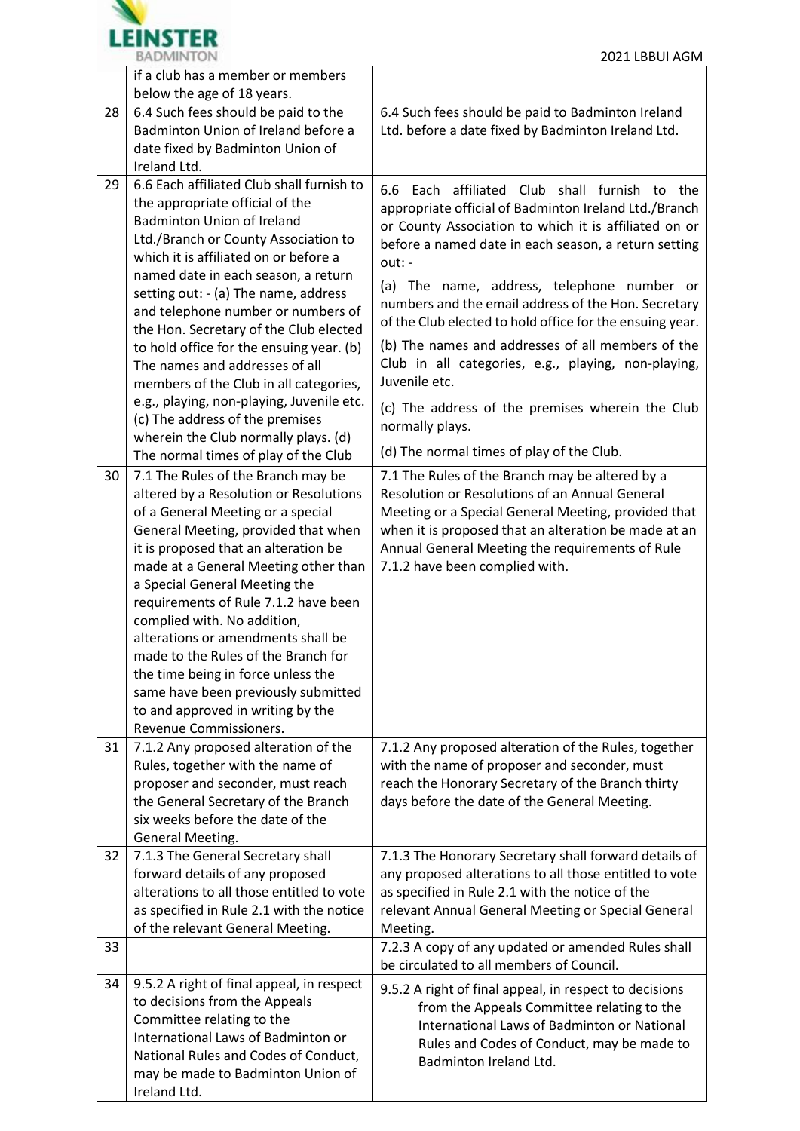

|    | if a club has a member or members                                             |                                                          |
|----|-------------------------------------------------------------------------------|----------------------------------------------------------|
|    | below the age of 18 years.                                                    |                                                          |
| 28 | 6.4 Such fees should be paid to the                                           | 6.4 Such fees should be paid to Badminton Ireland        |
|    | Badminton Union of Ireland before a                                           | Ltd. before a date fixed by Badminton Ireland Ltd.       |
|    | date fixed by Badminton Union of                                              |                                                          |
|    | Ireland Ltd.                                                                  |                                                          |
| 29 | 6.6 Each affiliated Club shall furnish to                                     | 6.6<br>Each affiliated Club shall furnish to the         |
|    | the appropriate official of the                                               | appropriate official of Badminton Ireland Ltd./Branch    |
|    | <b>Badminton Union of Ireland</b>                                             | or County Association to which it is affiliated on or    |
|    | Ltd./Branch or County Association to<br>which it is affiliated on or before a | before a named date in each season, a return setting     |
|    | named date in each season, a return                                           | out: -                                                   |
|    |                                                                               | (a) The name, address, telephone number or               |
|    | setting out: - (a) The name, address<br>and telephone number or numbers of    | numbers and the email address of the Hon. Secretary      |
|    | the Hon. Secretary of the Club elected                                        | of the Club elected to hold office for the ensuing year. |
|    | to hold office for the ensuing year. (b)                                      | (b) The names and addresses of all members of the        |
|    | The names and addresses of all                                                | Club in all categories, e.g., playing, non-playing,      |
|    | members of the Club in all categories,                                        | Juvenile etc.                                            |
|    | e.g., playing, non-playing, Juvenile etc.                                     |                                                          |
|    | (c) The address of the premises                                               | (c) The address of the premises wherein the Club         |
|    | wherein the Club normally plays. (d)                                          | normally plays.                                          |
|    | The normal times of play of the Club                                          | (d) The normal times of play of the Club.                |
| 30 | 7.1 The Rules of the Branch may be                                            | 7.1 The Rules of the Branch may be altered by a          |
|    | altered by a Resolution or Resolutions                                        | Resolution or Resolutions of an Annual General           |
|    | of a General Meeting or a special                                             | Meeting or a Special General Meeting, provided that      |
|    | General Meeting, provided that when                                           | when it is proposed that an alteration be made at an     |
|    | it is proposed that an alteration be                                          | Annual General Meeting the requirements of Rule          |
|    | made at a General Meeting other than                                          | 7.1.2 have been complied with.                           |
|    | a Special General Meeting the                                                 |                                                          |
|    | requirements of Rule 7.1.2 have been                                          |                                                          |
|    | complied with. No addition,                                                   |                                                          |
|    | alterations or amendments shall be                                            |                                                          |
|    | made to the Rules of the Branch for                                           |                                                          |
|    | the time being in force unless the                                            |                                                          |
|    | same have been previously submitted                                           |                                                          |
|    | to and approved in writing by the                                             |                                                          |
|    | Revenue Commissioners.                                                        |                                                          |
| 31 | 7.1.2 Any proposed alteration of the                                          | 7.1.2 Any proposed alteration of the Rules, together     |
|    | Rules, together with the name of                                              | with the name of proposer and seconder, must             |
|    | proposer and seconder, must reach                                             | reach the Honorary Secretary of the Branch thirty        |
|    | the General Secretary of the Branch<br>six weeks before the date of the       | days before the date of the General Meeting.             |
|    |                                                                               |                                                          |
| 32 | General Meeting.<br>7.1.3 The General Secretary shall                         | 7.1.3 The Honorary Secretary shall forward details of    |
|    | forward details of any proposed                                               | any proposed alterations to all those entitled to vote   |
|    | alterations to all those entitled to vote                                     | as specified in Rule 2.1 with the notice of the          |
|    | as specified in Rule 2.1 with the notice                                      | relevant Annual General Meeting or Special General       |
|    | of the relevant General Meeting.                                              | Meeting.                                                 |
| 33 |                                                                               | 7.2.3 A copy of any updated or amended Rules shall       |
|    |                                                                               | be circulated to all members of Council.                 |
| 34 | 9.5.2 A right of final appeal, in respect                                     | 9.5.2 A right of final appeal, in respect to decisions   |
|    | to decisions from the Appeals                                                 | from the Appeals Committee relating to the               |
|    | Committee relating to the                                                     | International Laws of Badminton or National              |
|    | International Laws of Badminton or                                            | Rules and Codes of Conduct, may be made to               |
|    | National Rules and Codes of Conduct,                                          | Badminton Ireland Ltd.                                   |
|    | may be made to Badminton Union of                                             |                                                          |
|    | Ireland Ltd.                                                                  |                                                          |